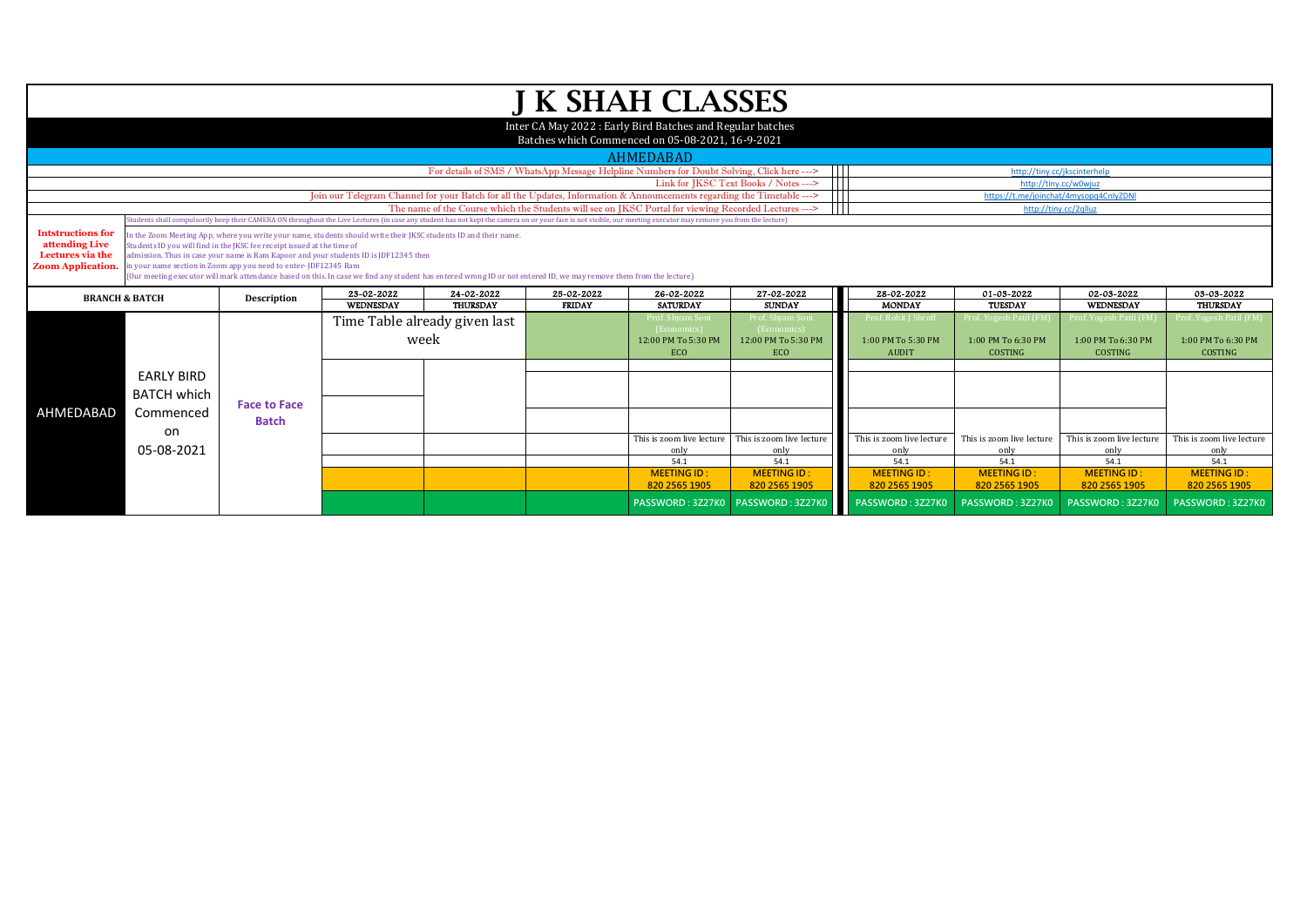|                                                                                                                                                                                                                                                           |                                                                                                                                                                                                                                                                                                                                                                                                                                                                                                                               |                     |            |                                       |               | <b>J K SHAH CLASSES</b>                                                                                       |                                                                                           |                                                            |                                                                |                                                         |                                                                 |  |
|-----------------------------------------------------------------------------------------------------------------------------------------------------------------------------------------------------------------------------------------------------------|-------------------------------------------------------------------------------------------------------------------------------------------------------------------------------------------------------------------------------------------------------------------------------------------------------------------------------------------------------------------------------------------------------------------------------------------------------------------------------------------------------------------------------|---------------------|------------|---------------------------------------|---------------|---------------------------------------------------------------------------------------------------------------|-------------------------------------------------------------------------------------------|------------------------------------------------------------|----------------------------------------------------------------|---------------------------------------------------------|-----------------------------------------------------------------|--|
|                                                                                                                                                                                                                                                           |                                                                                                                                                                                                                                                                                                                                                                                                                                                                                                                               |                     |            |                                       |               | Inter CA May 2022: Early Bird Batches and Regular batches<br>Batches which Commenced on 05-08-2021, 16-9-2021 |                                                                                           |                                                            |                                                                |                                                         |                                                                 |  |
|                                                                                                                                                                                                                                                           |                                                                                                                                                                                                                                                                                                                                                                                                                                                                                                                               |                     |            |                                       |               |                                                                                                               |                                                                                           |                                                            |                                                                |                                                         |                                                                 |  |
|                                                                                                                                                                                                                                                           |                                                                                                                                                                                                                                                                                                                                                                                                                                                                                                                               |                     |            |                                       |               | <b>AHMEDABAD</b>                                                                                              |                                                                                           |                                                            |                                                                |                                                         |                                                                 |  |
|                                                                                                                                                                                                                                                           |                                                                                                                                                                                                                                                                                                                                                                                                                                                                                                                               |                     |            |                                       |               |                                                                                                               | For details of SMS / WhatsApp Message Helpline Numbers for Doubt Solving, Click here ---> |                                                            |                                                                | http://tinv.cc/ikscinterhelp                            |                                                                 |  |
| Ш<br>Link for JKSC Text Books / Notes ---><br>http://tiny.cc/w0wjuz<br>Join our Telegram Channel for your Batch for all the Updates, Information & Announcements regarding the Timetable ---><br>$\blacksquare$<br>https://t.me/joinchat/4mysopq4CnlyZDNl |                                                                                                                                                                                                                                                                                                                                                                                                                                                                                                                               |                     |            |                                       |               |                                                                                                               |                                                                                           |                                                            |                                                                |                                                         |                                                                 |  |
| The name of the Course which the Students will see on JKSC Portal for viewing Recorded Lectures ---><br>http://tiny.cc/2qlluz                                                                                                                             |                                                                                                                                                                                                                                                                                                                                                                                                                                                                                                                               |                     |            |                                       |               |                                                                                                               |                                                                                           |                                                            |                                                                |                                                         |                                                                 |  |
| Students shall compulsorily keep their CAMERA ON throughout the Live Lectures (in case any student has not kept the camera on or your face is not visible, our meeting executor may remove you from the lecture)                                          |                                                                                                                                                                                                                                                                                                                                                                                                                                                                                                                               |                     |            |                                       |               |                                                                                                               |                                                                                           |                                                            |                                                                |                                                         |                                                                 |  |
| <b>Intstructions for</b><br>attending Live<br>Lectures via the<br><b>Zoom Application.</b>                                                                                                                                                                | In the Zoom Meeting App, where you write your name, students should write their IKSC students ID and their name,<br>Students ID you will find in the JKSC fee receipt issued at the time of<br>admission. Thus in case your name is Ram Kapoor and your students ID is JDF12345 then<br>in your name section in Zoom app you need to enter-JDF12345 Ram<br>(Our meeting executor will mark attendance based on this. In case we find any student has entered wrong ID or not entered ID, we may remove them from the lecture) |                     |            |                                       |               |                                                                                                               |                                                                                           |                                                            |                                                                |                                                         |                                                                 |  |
|                                                                                                                                                                                                                                                           | <b>BRANCH &amp; BATCH</b>                                                                                                                                                                                                                                                                                                                                                                                                                                                                                                     | Description         | 23-02-2022 | 24-02-2022                            | 25-02-2022    | 26-02-2022                                                                                                    | 27-02-2022                                                                                | 28-02-2022                                                 | 01-03-2022                                                     | 02-03-2022                                              | 03-03-2022                                                      |  |
|                                                                                                                                                                                                                                                           |                                                                                                                                                                                                                                                                                                                                                                                                                                                                                                                               |                     | WEDNESDAY  | <b>THURSDAY</b>                       | <b>FRIDAY</b> | <b>SATURDAY</b>                                                                                               | <b>SUNDAY</b>                                                                             | <b>MONDAY</b>                                              | TUESDAY                                                        | <b>WEDNESDAY</b>                                        | <b>THURSDAY</b>                                                 |  |
|                                                                                                                                                                                                                                                           |                                                                                                                                                                                                                                                                                                                                                                                                                                                                                                                               |                     |            | Time Table already given last<br>week |               | Prof. Shyam Son<br>(Economics)<br>12:00 PM To 5:30 PM<br>ECO                                                  | Prof. Shyam Soni<br><b>(Economics</b><br>12:00 PM To 5:30 PM<br>ECO                       | 'rof. Rohit I Shroff<br>1:00 PM To 5:30 PM<br><b>AUDIT</b> | Prof. Yogesh Patil (FM<br>1:00 PM To 6:30 PM<br><b>COSTING</b> | Prof. Yogesh Patil (FM<br>1:00 PM To 6:30 PM<br>COSTING | Prof. Yogesh Patil (FM)<br>1:00 PM To 6:30 PM<br><b>COSTING</b> |  |
| AHMEDABAD                                                                                                                                                                                                                                                 | <b>EARLY BIRD</b><br><b>BATCH which</b><br>Commenced                                                                                                                                                                                                                                                                                                                                                                                                                                                                          | <b>Face to Face</b> |            |                                       |               |                                                                                                               |                                                                                           |                                                            |                                                                |                                                         |                                                                 |  |
|                                                                                                                                                                                                                                                           | on                                                                                                                                                                                                                                                                                                                                                                                                                                                                                                                            | <b>Batch</b>        |            |                                       |               | This is zoom live lecture                                                                                     | This is zoom live lecture                                                                 | This is zoom live lecture                                  | This is zoom live lecture                                      | This is zoom live lecture                               |                                                                 |  |
|                                                                                                                                                                                                                                                           | 05-08-2021                                                                                                                                                                                                                                                                                                                                                                                                                                                                                                                    |                     |            |                                       |               | only                                                                                                          | only                                                                                      | only                                                       | only                                                           | only                                                    | This is zoom live lecture<br>only                               |  |
|                                                                                                                                                                                                                                                           |                                                                                                                                                                                                                                                                                                                                                                                                                                                                                                                               |                     |            |                                       |               | 54.1                                                                                                          | 54.1                                                                                      | 54.1                                                       | 54.1                                                           | 54.1                                                    | 54.1                                                            |  |
|                                                                                                                                                                                                                                                           |                                                                                                                                                                                                                                                                                                                                                                                                                                                                                                                               |                     |            |                                       |               | <b>MEETING ID:</b><br>820 2565 1905                                                                           | <b>MEETING ID:</b><br>820 2565 1905                                                       | <b>MEETING ID:</b><br>820 2565 1905                        | <b>MEETING ID:</b><br>820 2565 1905                            | <b>MEETING ID:</b><br>820 2565 1905                     | <b>MEETING ID:</b><br>820 2565 1905                             |  |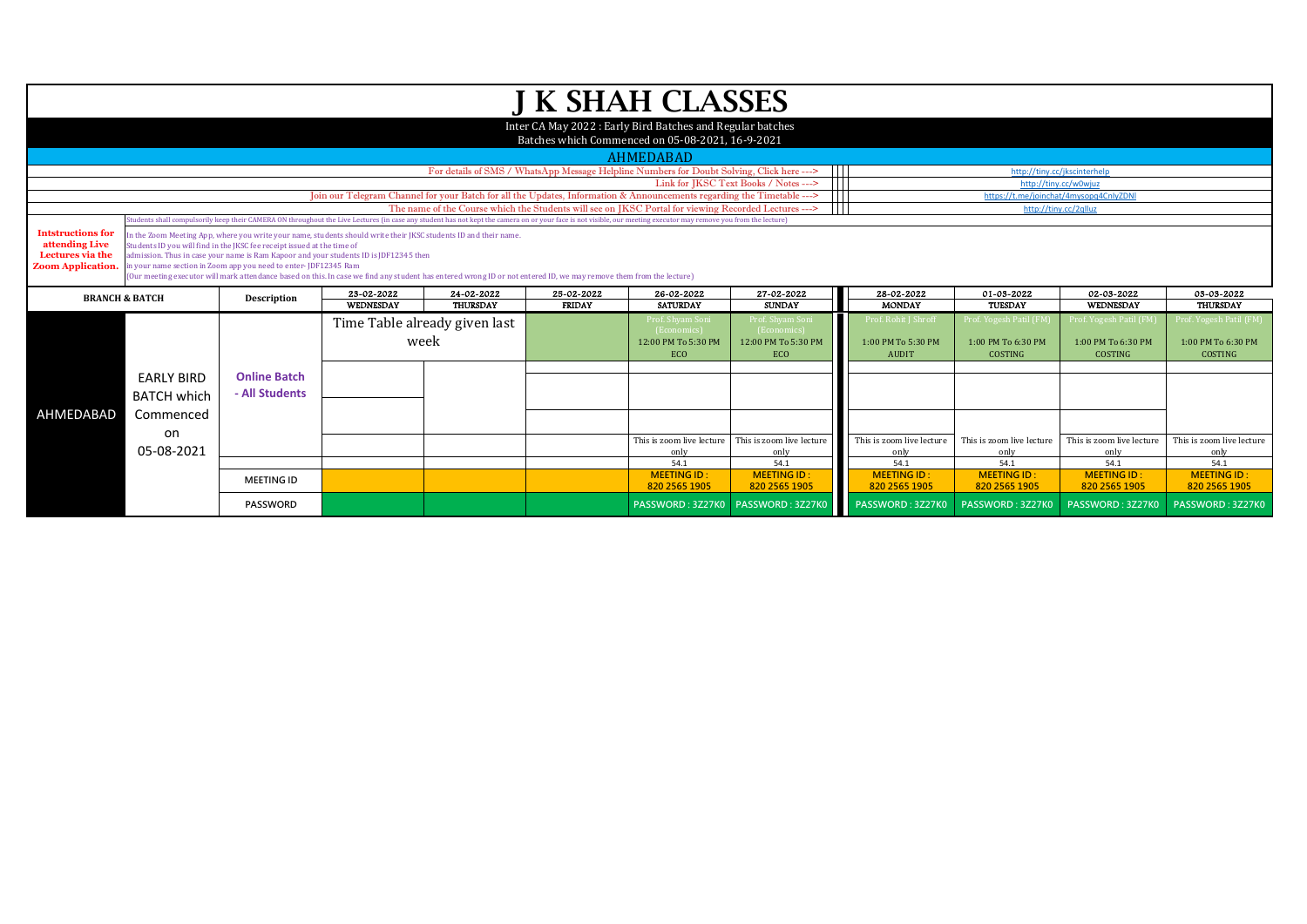|                                                                                            |                                         |                                                                                                                                                                                                                                                                                                                                                                                                                                                                                                                               |                                                                                                                        |                                                                                                      |                       | <b>J K SHAH CLASSES</b>                                                                                                                                                                                          |                                                                    |                                                            |                                                                |                                                         |                                                                |
|--------------------------------------------------------------------------------------------|-----------------------------------------|-------------------------------------------------------------------------------------------------------------------------------------------------------------------------------------------------------------------------------------------------------------------------------------------------------------------------------------------------------------------------------------------------------------------------------------------------------------------------------------------------------------------------------|------------------------------------------------------------------------------------------------------------------------|------------------------------------------------------------------------------------------------------|-----------------------|------------------------------------------------------------------------------------------------------------------------------------------------------------------------------------------------------------------|--------------------------------------------------------------------|------------------------------------------------------------|----------------------------------------------------------------|---------------------------------------------------------|----------------------------------------------------------------|
|                                                                                            |                                         |                                                                                                                                                                                                                                                                                                                                                                                                                                                                                                                               |                                                                                                                        |                                                                                                      |                       | Inter CA May 2022: Early Bird Batches and Regular batches                                                                                                                                                        |                                                                    |                                                            |                                                                |                                                         |                                                                |
|                                                                                            |                                         |                                                                                                                                                                                                                                                                                                                                                                                                                                                                                                                               |                                                                                                                        |                                                                                                      |                       | Batches which Commenced on 05-08-2021, 16-9-2021                                                                                                                                                                 |                                                                    |                                                            |                                                                |                                                         |                                                                |
|                                                                                            |                                         |                                                                                                                                                                                                                                                                                                                                                                                                                                                                                                                               |                                                                                                                        |                                                                                                      |                       | <b>AHMEDABAD</b>                                                                                                                                                                                                 |                                                                    |                                                            |                                                                |                                                         |                                                                |
|                                                                                            |                                         |                                                                                                                                                                                                                                                                                                                                                                                                                                                                                                                               |                                                                                                                        | For details of SMS / WhatsApp Message Helpline Numbers for Doubt Solving, Click here --->            |                       | http://tinv.cc/ikscinterhelr                                                                                                                                                                                     |                                                                    |                                                            |                                                                |                                                         |                                                                |
|                                                                                            |                                         |                                                                                                                                                                                                                                                                                                                                                                                                                                                                                                                               |                                                                                                                        |                                                                                                      | http://tiny.cc/w0wjuz |                                                                                                                                                                                                                  |                                                                    |                                                            |                                                                |                                                         |                                                                |
|                                                                                            |                                         |                                                                                                                                                                                                                                                                                                                                                                                                                                                                                                                               | Join our Telegram Channel for your Batch for all the Updates, Information & Announcements regarding the Timetable ---> |                                                                                                      |                       | https://t.me/joinchat/4mysopq4CnlyZDNI                                                                                                                                                                           |                                                                    |                                                            |                                                                |                                                         |                                                                |
|                                                                                            |                                         |                                                                                                                                                                                                                                                                                                                                                                                                                                                                                                                               |                                                                                                                        | The name of the Course which the Students will see on JKSC Portal for viewing Recorded Lectures ---> |                       |                                                                                                                                                                                                                  | http://tiny.cc/2qlluz                                              |                                                            |                                                                |                                                         |                                                                |
|                                                                                            |                                         |                                                                                                                                                                                                                                                                                                                                                                                                                                                                                                                               |                                                                                                                        |                                                                                                      |                       | Students shall compulsorily keep their CAMERA ON throughout the Live Lectures (in case any student has not kept the camera on or your face is not visible, our meeting executor may remove you from the lecture) |                                                                    |                                                            |                                                                |                                                         |                                                                |
| <b>Intstructions for</b><br>attending Live<br>Lectures via the<br><b>Zoom Application.</b> |                                         | in the Zoom Meeting App, where you write your name, students should write their JKSC students ID and their name.<br>Students ID you will find in the JKSC fee receipt issued at the time of<br>admission. Thus in case your name is Ram Kapoor and your students ID is JDF12345 then<br>in your name section in Zoom app you need to enter-JDF12345 Ram<br>(Our meeting executor will mark attendance based on this. In case we find any student has entered wrong ID or not entered ID, we may remove them from the lecture) |                                                                                                                        |                                                                                                      |                       |                                                                                                                                                                                                                  |                                                                    |                                                            |                                                                |                                                         |                                                                |
|                                                                                            |                                         |                                                                                                                                                                                                                                                                                                                                                                                                                                                                                                                               |                                                                                                                        |                                                                                                      |                       |                                                                                                                                                                                                                  |                                                                    |                                                            |                                                                |                                                         |                                                                |
|                                                                                            |                                         |                                                                                                                                                                                                                                                                                                                                                                                                                                                                                                                               | 23-02-2022                                                                                                             | 24-02-2022                                                                                           | 25-02-2022            | 26-02-2022                                                                                                                                                                                                       | 27-02-2022                                                         | 28-02-2022                                                 | 01-03-2022                                                     | 02-03-2022                                              | 03-03-2022                                                     |
| <b>BRANCH &amp; BATCH</b>                                                                  |                                         | Description                                                                                                                                                                                                                                                                                                                                                                                                                                                                                                                   | <b>WEDNESDAY</b>                                                                                                       | <b>THURSDAY</b>                                                                                      | <b>FRIDAY</b>         | <b>SATURDAY</b>                                                                                                                                                                                                  | <b>SUNDAY</b>                                                      | <b>MONDAY</b>                                              | <b>TUESDAY</b>                                                 | WEDNESDAY                                               | THURSDAY                                                       |
|                                                                                            |                                         |                                                                                                                                                                                                                                                                                                                                                                                                                                                                                                                               |                                                                                                                        | Time Table already given last<br>week                                                                |                       | Prof. Shvam Son<br>(Economics)<br>12:00 PM To 5:30 PM<br>ECO                                                                                                                                                     | Prof. Shvam Son<br>(Economics<br>12:00 PM To 5:30 PM<br><b>ECO</b> | Prof. Rohit I Shroff<br>1:00 PM To 5:30 PM<br><b>AUDIT</b> | Prof. Yogesh Patil (FM<br>1:00 PM To 6:30 PM<br><b>COSTING</b> | Prof. Yogesh Patil (FM<br>1:00 PM To 6:30 PM<br>COSTING | Prof. Yogesh Patil (FM<br>1:00 PM To 6:30 PM<br><b>COSTING</b> |
|                                                                                            | <b>EARLY BIRD</b><br><b>BATCH which</b> | <b>Online Batch</b><br>- All Students                                                                                                                                                                                                                                                                                                                                                                                                                                                                                         |                                                                                                                        |                                                                                                      |                       |                                                                                                                                                                                                                  |                                                                    |                                                            |                                                                |                                                         |                                                                |
| AHMEDABAD                                                                                  | Commenced<br>on<br>05-08-2021           |                                                                                                                                                                                                                                                                                                                                                                                                                                                                                                                               |                                                                                                                        |                                                                                                      |                       | This is zoom live lecture<br>only                                                                                                                                                                                | This is zoom live lecture<br>only                                  | This is zoom live lecture<br>only                          | This is zoom live lecture<br>only                              | This is zoom live lecture<br>only                       | This is zoom live lecture<br>only                              |
|                                                                                            |                                         |                                                                                                                                                                                                                                                                                                                                                                                                                                                                                                                               |                                                                                                                        |                                                                                                      |                       | 54.1                                                                                                                                                                                                             | 54.1                                                               | 54.1                                                       | 54.1                                                           | 54.1                                                    | 54.1                                                           |
|                                                                                            |                                         | <b>MEETING ID</b>                                                                                                                                                                                                                                                                                                                                                                                                                                                                                                             |                                                                                                                        |                                                                                                      |                       | <b>MEETING ID:</b><br>820 2565 1905                                                                                                                                                                              | <b>MEETING ID:</b><br>820 2565 1905                                | <b>MEETING ID:</b><br>820 2565 1905                        | <b>MEETING ID:</b><br>820 2565 1905                            | <b>MEETING ID:</b><br>820 2565 1905                     | <b>MEETING ID</b><br>820 2565 1905                             |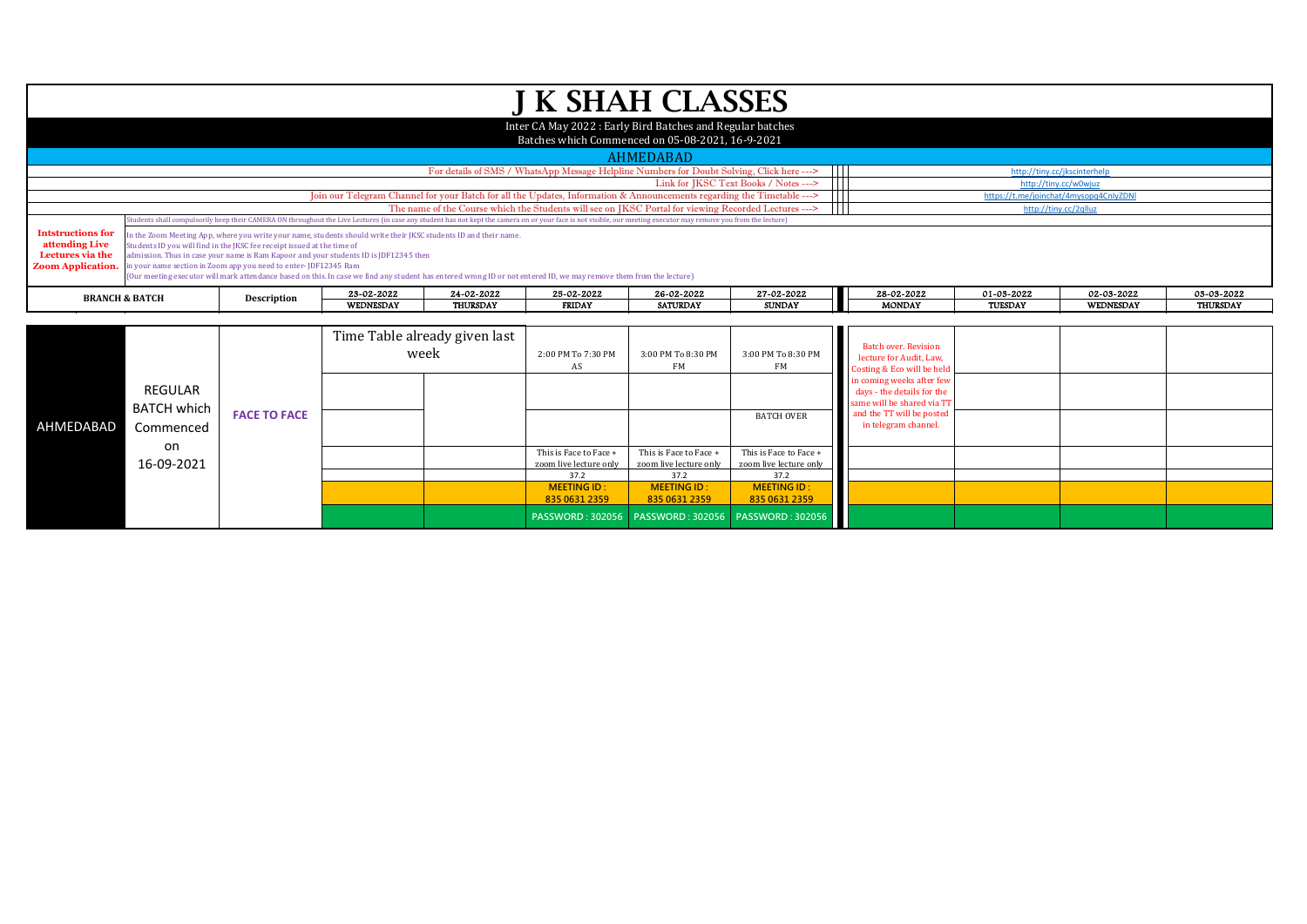|                                                                                                                                                                  |                                                                                                                                                                                                                                                                                                                                                                                                                                                                                                                                                          |                                                                                                                                                                                                                  |                  |                               | <b>J K SHAH CLASSES</b>                                                                   |                          |                                                         |                                                                                       |                |                              |                 |
|------------------------------------------------------------------------------------------------------------------------------------------------------------------|----------------------------------------------------------------------------------------------------------------------------------------------------------------------------------------------------------------------------------------------------------------------------------------------------------------------------------------------------------------------------------------------------------------------------------------------------------------------------------------------------------------------------------------------------------|------------------------------------------------------------------------------------------------------------------------------------------------------------------------------------------------------------------|------------------|-------------------------------|-------------------------------------------------------------------------------------------|--------------------------|---------------------------------------------------------|---------------------------------------------------------------------------------------|----------------|------------------------------|-----------------|
|                                                                                                                                                                  |                                                                                                                                                                                                                                                                                                                                                                                                                                                                                                                                                          |                                                                                                                                                                                                                  |                  |                               | Inter CA May 2022: Early Bird Batches and Regular batches                                 |                          |                                                         |                                                                                       |                |                              |                 |
|                                                                                                                                                                  |                                                                                                                                                                                                                                                                                                                                                                                                                                                                                                                                                          |                                                                                                                                                                                                                  |                  |                               | Batches which Commenced on 05-08-2021, 16-9-2021                                          |                          |                                                         |                                                                                       |                |                              |                 |
|                                                                                                                                                                  |                                                                                                                                                                                                                                                                                                                                                                                                                                                                                                                                                          |                                                                                                                                                                                                                  |                  |                               |                                                                                           | <b>AHMEDABAD</b>         |                                                         |                                                                                       |                |                              |                 |
|                                                                                                                                                                  |                                                                                                                                                                                                                                                                                                                                                                                                                                                                                                                                                          |                                                                                                                                                                                                                  |                  |                               | For details of SMS / WhatsApp Message Helpline Numbers for Doubt Solving, Click here ---> |                          | $\mathbf{H}$                                            |                                                                                       |                | http://tiny.cc/jkscinterhelp |                 |
|                                                                                                                                                                  |                                                                                                                                                                                                                                                                                                                                                                                                                                                                                                                                                          |                                                                                                                                                                                                                  |                  |                               |                                                                                           |                          | Link for JKSC Text Books / Notes ---><br>$\blacksquare$ |                                                                                       |                | http://tiny.cc/w0wjuz        |                 |
| Join our Telegram Channel for your Batch for all the Updates, Information & Announcements regarding the Timetable ---><br>https://t.me/joinchat/4mysopq4CnlyZDNI |                                                                                                                                                                                                                                                                                                                                                                                                                                                                                                                                                          |                                                                                                                                                                                                                  |                  |                               |                                                                                           |                          |                                                         |                                                                                       |                |                              |                 |
| The name of the Course which the Students will see on JKSC Portal for viewing Recorded Lectures ---><br>http://tiny.cc/2qlluz                                    |                                                                                                                                                                                                                                                                                                                                                                                                                                                                                                                                                          |                                                                                                                                                                                                                  |                  |                               |                                                                                           |                          |                                                         |                                                                                       |                |                              |                 |
|                                                                                                                                                                  |                                                                                                                                                                                                                                                                                                                                                                                                                                                                                                                                                          | Students shall compulsorily keep their CAMERA ON throughout the Live Lectures (in case any student has not kept the camera on or your face is not visible, our meeting executor may remove you from the lecture) |                  |                               |                                                                                           |                          |                                                         |                                                                                       |                |                              |                 |
| attending Live<br>Lectures via the<br><b>Zoom Application.</b>                                                                                                   | <b>Intstructions for</b><br>n the Zoom Meeting App, where you write your name, students should write their JKSC students ID and their name.<br>Students ID you will find in the IKSC fee receipt issued at the time of<br>admission. Thus in case your name is Ram Kapoor and your students ID is JDF12345 then<br>in your name section in Zoom app you need to enter-JDF12345 Ram<br>(Our meeting executor will mark attendance based on this. In case we find any student has entered wrong ID or not entered ID, we may remove them from the lecture) |                                                                                                                                                                                                                  |                  |                               |                                                                                           |                          |                                                         |                                                                                       |                |                              |                 |
|                                                                                                                                                                  | <b>BRANCH &amp; BATCH</b>                                                                                                                                                                                                                                                                                                                                                                                                                                                                                                                                | Description                                                                                                                                                                                                      | 23-02-2022       | 24-02-2022                    | 25-02-2022                                                                                | 26-02-2022               | 27-02-2022                                              | 28-02-2022                                                                            | 01-03-2022     | 02-03-2022                   | 03-03-2022      |
|                                                                                                                                                                  |                                                                                                                                                                                                                                                                                                                                                                                                                                                                                                                                                          |                                                                                                                                                                                                                  | <b>WEDNESDAY</b> | <b>THURSDAY</b>               | <b>FRIDAY</b>                                                                             | <b>SATURDAY</b>          | <b>SUNDAY</b>                                           | <b>MONDAY</b>                                                                         | <b>TUESDAY</b> | WEDNESDAY                    | <b>THURSDAY</b> |
|                                                                                                                                                                  |                                                                                                                                                                                                                                                                                                                                                                                                                                                                                                                                                          |                                                                                                                                                                                                                  |                  |                               |                                                                                           |                          |                                                         |                                                                                       |                |                              |                 |
|                                                                                                                                                                  |                                                                                                                                                                                                                                                                                                                                                                                                                                                                                                                                                          |                                                                                                                                                                                                                  |                  | Time Table already given last |                                                                                           |                          |                                                         |                                                                                       |                |                              |                 |
|                                                                                                                                                                  |                                                                                                                                                                                                                                                                                                                                                                                                                                                                                                                                                          |                                                                                                                                                                                                                  |                  | week                          |                                                                                           | 3:00 PM To 8:30 PM<br>FM | 3:00 PM To 8:30 PM<br>FM                                | <b>Batch over, Revision</b><br>lecture for Audit, Law,<br>Costing & Eco will be held  |                |                              |                 |
|                                                                                                                                                                  | <b>REGULAR</b><br>$P_{A}$ $T_{C}$ $I_{A}$ $I_{B}$ $I_{C}$ $I_{D}$                                                                                                                                                                                                                                                                                                                                                                                                                                                                                        |                                                                                                                                                                                                                  |                  |                               |                                                                                           |                          |                                                         | in coming weeks after few<br>days - the details for the<br>same will be shared via TT |                |                              |                 |

| AHMEDABAD | REGULAR<br>BATCH which  <br>Commenced | <b>FACE TO FACE</b> |  |                        |                        | <b>BATCH OVER</b>                                      | in coming weeks after few<br>days - the details for the<br>same will be shared via TT<br>and the TT will be posted<br>in telegram channel. |  |  |
|-----------|---------------------------------------|---------------------|--|------------------------|------------------------|--------------------------------------------------------|--------------------------------------------------------------------------------------------------------------------------------------------|--|--|
|           | on                                    |                     |  | This is Face to Face + | This is Face to Face + | This is Face to Face +                                 |                                                                                                                                            |  |  |
|           | 16-09-2021                            |                     |  | zoom live lecture only | zoom live lecture only | zoom live lecture only                                 |                                                                                                                                            |  |  |
|           |                                       |                     |  | 37.2                   | 37.2                   | 37.2                                                   |                                                                                                                                            |  |  |
|           |                                       |                     |  | <b>MEETING ID:</b>     | <b>MEETING ID:</b>     | <b>MEETING ID:</b>                                     |                                                                                                                                            |  |  |
|           |                                       |                     |  | 835 0631 2359          | 835 0631 2359          | 835 0631 2359                                          |                                                                                                                                            |  |  |
|           |                                       |                     |  |                        |                        | PASSWORD: 302056   PASSWORD: 302056   PASSWORD: 302056 |                                                                                                                                            |  |  |